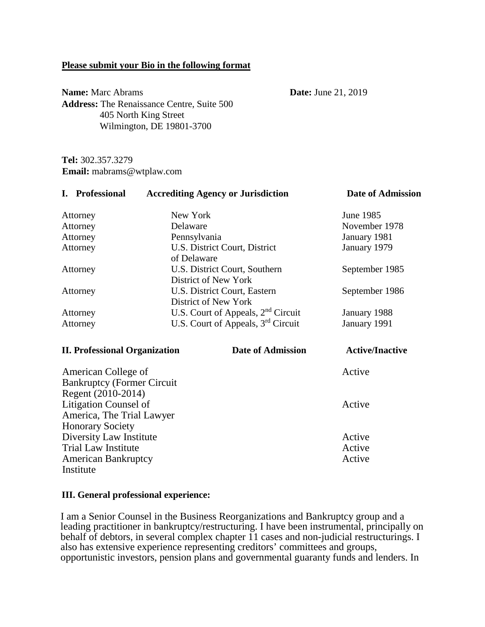#### **Please submit your Bio in the following format**

**Name:** Marc Abrams **Date:** June 21, 2019 **Address:** The Renaissance Centre, Suite 500 405 North King Street Wilmington, DE 19801-3700

**Tel:** 302.357.3279 **Email:** mabrams@wtplaw.com

| I. Professional                                           |                                                       | <b>Accrediting Agency or Jurisdiction</b>            | <b>Date of Admission</b> |
|-----------------------------------------------------------|-------------------------------------------------------|------------------------------------------------------|--------------------------|
| Attorney                                                  | New York                                              |                                                      | June 1985                |
| Attorney                                                  | Delaware                                              |                                                      | November 1978            |
| Attorney                                                  | Pennsylvania                                          |                                                      | January 1981             |
| Attorney                                                  | U.S. District Court, District<br>of Delaware          |                                                      | January 1979             |
| Attorney                                                  | U.S. District Court, Southern<br>District of New York |                                                      | September 1985           |
| Attorney                                                  |                                                       | U.S. District Court, Eastern<br>District of New York | September 1986           |
| Attorney                                                  |                                                       | U.S. Court of Appeals, $2nd$ Circuit                 | January 1988             |
| Attorney                                                  |                                                       | U.S. Court of Appeals, $3rd$ Circuit                 | January 1991             |
| <b>II. Professional Organization</b>                      |                                                       | <b>Date of Admission</b>                             | <b>Active/Inactive</b>   |
| American College of<br><b>Bankruptcy (Former Circuit)</b> |                                                       |                                                      | Active                   |

 Regent (2010-2014) Litigation Counsel of Active America, The Trial Lawyer Honorary Society Diversity Law Institute Active Trial Law Institute Active American Bankruptcy **Active** Active Institute

#### **III. General professional experience:**

I am a Senior Counsel in the Business Reorganizations and Bankruptcy group and a leading practitioner in bankruptcy/restructuring. I have been instrumental, principally on behalf of debtors, in several complex chapter 11 cases and non-judicial restructurings. I also has extensive experience representing creditors' committees and groups, opportunistic investors, pension plans and governmental guaranty funds and lenders. In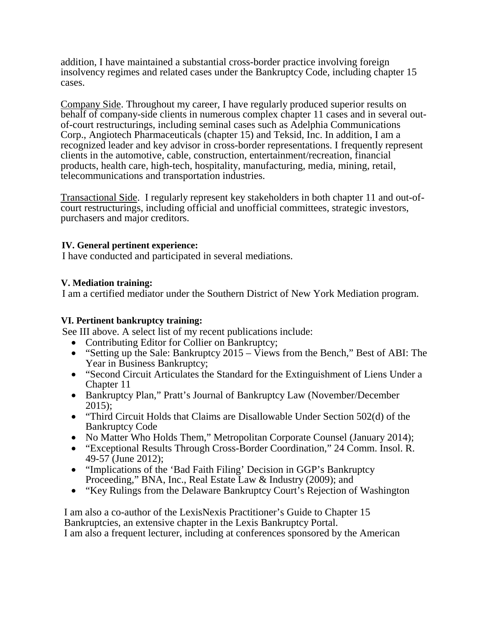addition, I have maintained a substantial cross-border practice involving foreign insolvency regimes and related cases under the Bankruptcy Code, including chapter 15 cases.

Company Side. Throughout my career, I have regularly produced superior results on behalf of company-side clients in numerous complex chapter 11 cases and in several outof-court restructurings, including seminal cases such as Adelphia Communications Corp., Angiotech Pharmaceuticals (chapter 15) and Teksid, Inc. In addition, I am a recognized leader and key advisor in cross-border representations. I frequently represent clients in the automotive, cable, construction, entertainment/recreation, financial products, health care, high-tech, hospitality, manufacturing, media, mining, retail, telecommunications and transportation industries.

Transactional Side. I regularly represent key stakeholders in both chapter 11 and out-ofcourt restructurings, including official and unofficial committees, strategic investors, purchasers and major creditors.

## **IV. General pertinent experience:**

I have conducted and participated in several mediations.

## **V. Mediation training:**

I am a certified mediator under the Southern District of New York Mediation program.

### **VI. Pertinent bankruptcy training:**

See III above. A select list of my recent publications include:

- Contributing Editor for Collier on Bankruptcy;
- "Setting up the Sale: Bankruptcy  $2015 \overline{V}$  iews from the Bench," Best of ABI: The Year in Business Bankruptcy;
- "Second Circuit Articulates the Standard for the Extinguishment of Liens Under a Chapter 11
- Bankruptcy Plan," Pratt's Journal of Bankruptcy Law (November/December 2015);
- "Third Circuit Holds that Claims are Disallowable Under Section 502(d) of the Bankruptcy Code
- No Matter Who Holds Them," Metropolitan Corporate Counsel (January 2014);
- "Exceptional Results Through Cross-Border Coordination," 24 Comm. Insol. R. 49-57 (June 2012);
- "Implications of the 'Bad Faith Filing' Decision in GGP's Bankruptcy Proceeding," BNA, Inc., Real Estate Law & Industry (2009); and
- "Key Rulings from the Delaware Bankruptcy Court's Rejection of Washington

I am also a co-author of the LexisNexis Practitioner's Guide to Chapter 15 Bankruptcies, an extensive chapter in the Lexis Bankruptcy Portal. I am also a frequent lecturer, including at conferences sponsored by the American